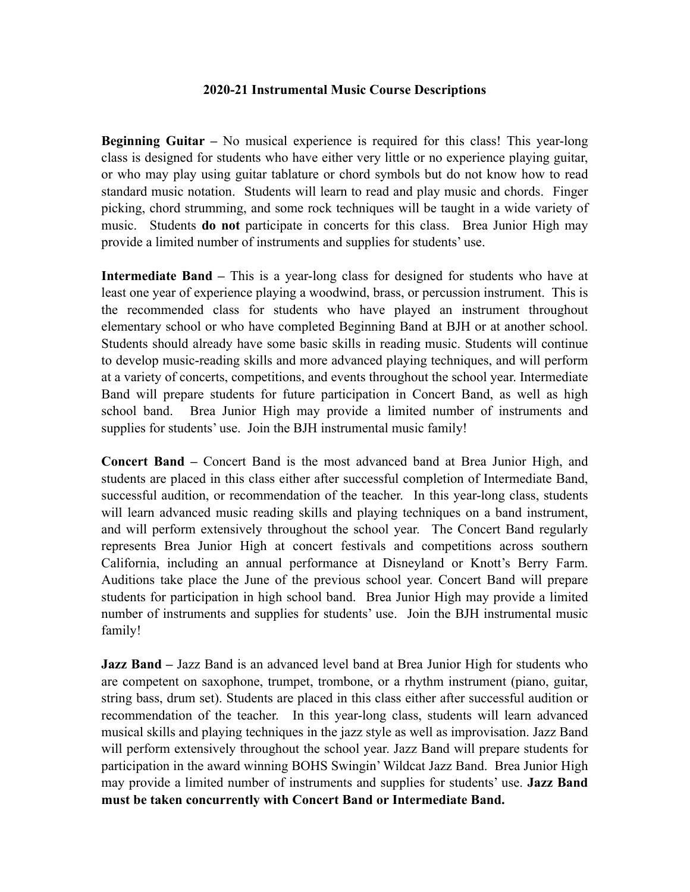## **2020-21 Instrumental Music Course Descriptions**

**Beginning Guitar –** No musical experience is required for this class! This year-long class is designed for students who have either very little or no experience playing guitar, or who may play using guitar tablature or chord symbols but do not know how to read standard music notation. Students will learn to read and play music and chords. Finger picking, chord strumming, and some rock techniques will be taught in a wide variety of music. Students **do not** participate in concerts for this class. Brea Junior High may provide a limited number of instruments and supplies for students' use.

**Intermediate Band –** This is a year-long class for designed for students who have at least one year of experience playing a woodwind, brass, or percussion instrument. This is the recommended class for students who have played an instrument throughout elementary school or who have completed Beginning Band at BJH or at another school. Students should already have some basic skills in reading music. Students will continue to develop music-reading skills and more advanced playing techniques, and will perform at a variety of concerts, competitions, and events throughout the school year. Intermediate Band will prepare students for future participation in Concert Band, as well as high school band. Brea Junior High may provide a limited number of instruments and supplies for students' use. Join the BJH instrumental music family!

**Concert Band –** Concert Band is the most advanced band at Brea Junior High, and students are placed in this class either after successful completion of Intermediate Band, successful audition, or recommendation of the teacher. In this year-long class, students will learn advanced music reading skills and playing techniques on a band instrument, and will perform extensively throughout the school year. The Concert Band regularly represents Brea Junior High at concert festivals and competitions across southern California, including an annual performance at Disneyland or Knott's Berry Farm. Auditions take place the June of the previous school year. Concert Band will prepare students for participation in high school band. Brea Junior High may provide a limited number of instruments and supplies for students' use. Join the BJH instrumental music family!

**Jazz Band** – Jazz Band is an advanced level band at Brea Junior High for students who are competent on saxophone, trumpet, trombone, or a rhythm instrument (piano, guitar, string bass, drum set). Students are placed in this class either after successful audition or recommendation of the teacher. In this year-long class, students will learn advanced musical skills and playing techniques in the jazz style as well as improvisation. Jazz Band will perform extensively throughout the school year. Jazz Band will prepare students for participation in the award winning BOHS Swingin' Wildcat Jazz Band. Brea Junior High may provide a limited number of instruments and supplies for students' use. **Jazz Band must be taken concurrently with Concert Band or Intermediate Band.**